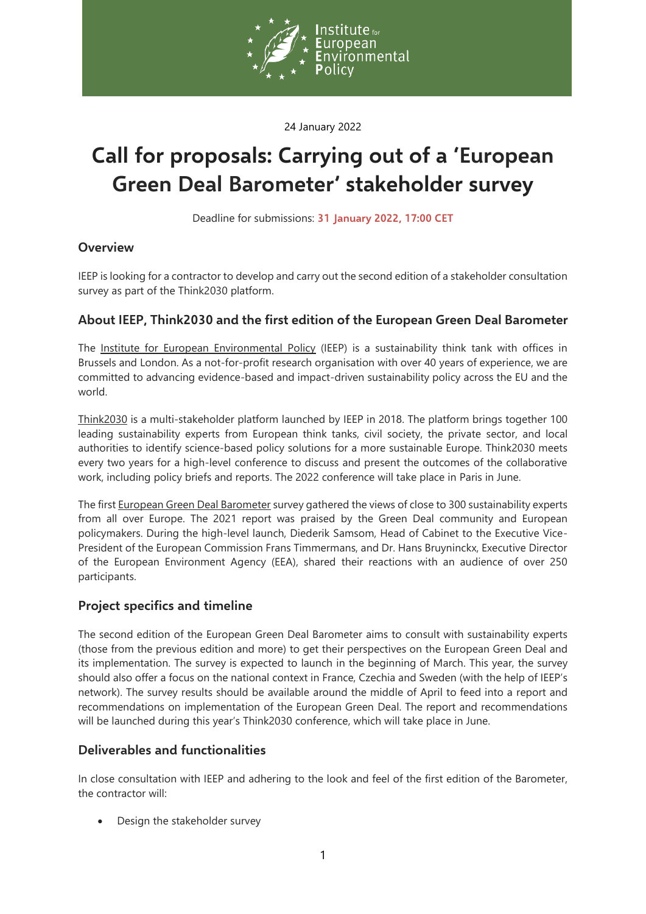

24 January 2022

# **Call for proposals: Carrying out of a 'European Green Deal Barometer' stakeholder survey**

Deadline for submissions: **31 January 2022, 17:00 CET**

## **Overview**

IEEP is looking for a contractor to develop and carry out the second edition of a stakeholder consultation survey as part of the Think2030 platform.

## **About IEEP, Think2030 and the first edition of the European Green Deal Barometer**

The [Institute for European Environmental Policy](https://ieep.eu/) (IEEP) is a sustainability think tank with offices in Brussels and London. As a not-for-profit research organisation with over 40 years of experience, we are committed to advancing evidence-based and impact-driven sustainability policy across the EU and the world.

[Think2030](https://think2030.eu/) is a multi-stakeholder platform launched by IEEP in 2018. The platform brings together 100 leading sustainability experts from European think tanks, civil society, the private sector, and local authorities to identify science-based policy solutions for a more sustainable Europe. Think2030 meets every two years for a high-level conference to discuss and present the outcomes of the collaborative work, including policy briefs and reports. The 2022 conference will take place in Paris in June.

The first European Green Deal Barometer survey gathered the views of close to 300 sustainability experts from all over Europe. The 2021 report was praised by the Green Deal community and European policymakers. During the high-level launch, Diederik Samsom, Head of Cabinet to the Executive Vice-President of the European Commission Frans Timmermans, and Dr. Hans Bruyninckx, Executive Director of the European Environment Agency (EEA), shared their reactions with an audience of over 250 participants.

## **Project specifics and timeline**

The second edition of the European Green Deal Barometer aims to consult with sustainability experts (those from the previous edition and more) to get their perspectives on the European Green Deal and its implementation. The survey is expected to launch in the beginning of March. This year, the survey should also offer a focus on the national context in France, Czechia and Sweden (with the help of IEEP's network). The survey results should be available around the middle of April to feed into a report and recommendations on implementation of the European Green Deal. The report and recommendations will be launched during this year's Think2030 conference, which will take place in June.

## **Deliverables and functionalities**

In close consultation with IEEP and adhering to the look and feel of the first edition of the Barometer, the contractor will:

• Design the stakeholder survey